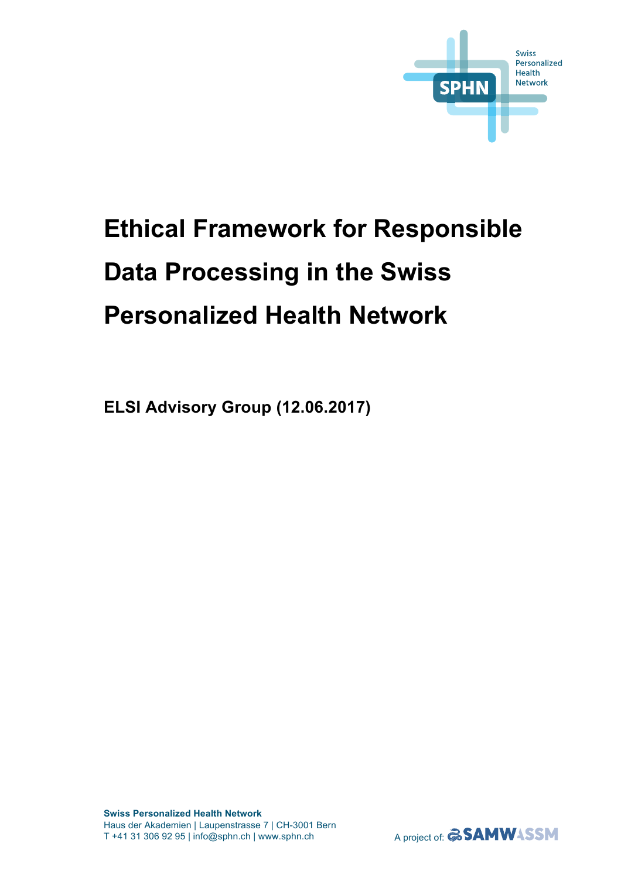

# **Ethical Framework for Responsible Data Processing in the Swiss Personalized Health Network**

**ELSI Advisory Group (12.06.2017)**

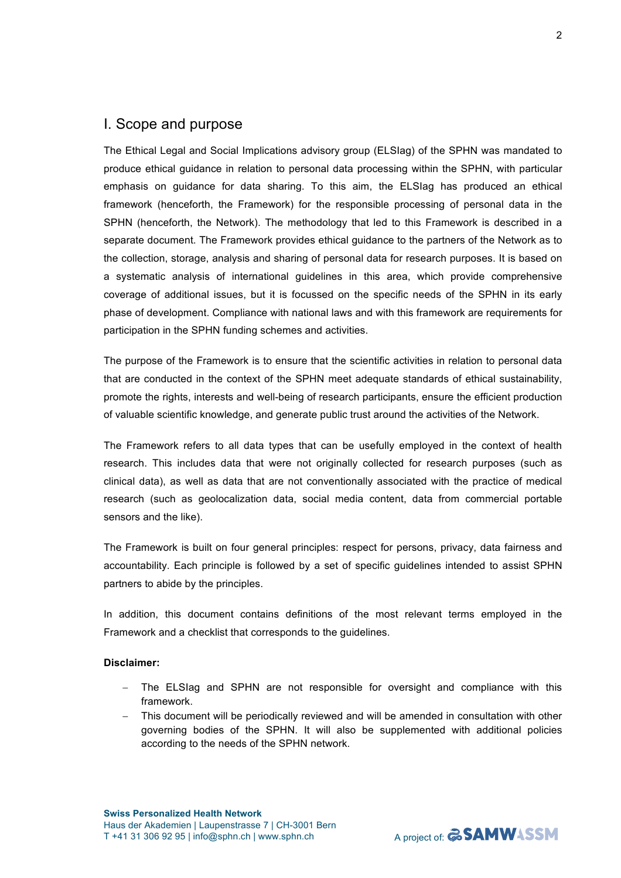# I. Scope and purpose

The Ethical Legal and Social Implications advisory group (ELSIag) of the SPHN was mandated to produce ethical guidance in relation to personal data processing within the SPHN, with particular emphasis on guidance for data sharing. To this aim, the ELSIag has produced an ethical framework (henceforth, the Framework) for the responsible processing of personal data in the SPHN (henceforth, the Network). The methodology that led to this Framework is described in a separate document. The Framework provides ethical guidance to the partners of the Network as to the collection, storage, analysis and sharing of personal data for research purposes. It is based on a systematic analysis of international guidelines in this area, which provide comprehensive coverage of additional issues, but it is focussed on the specific needs of the SPHN in its early phase of development. Compliance with national laws and with this framework are requirements for participation in the SPHN funding schemes and activities.

The purpose of the Framework is to ensure that the scientific activities in relation to personal data that are conducted in the context of the SPHN meet adequate standards of ethical sustainability, promote the rights, interests and well-being of research participants, ensure the efficient production of valuable scientific knowledge, and generate public trust around the activities of the Network.

The Framework refers to all data types that can be usefully employed in the context of health research. This includes data that were not originally collected for research purposes (such as clinical data), as well as data that are not conventionally associated with the practice of medical research (such as geolocalization data, social media content, data from commercial portable sensors and the like).

The Framework is built on four general principles: respect for persons, privacy, data fairness and accountability. Each principle is followed by a set of specific guidelines intended to assist SPHN partners to abide by the principles.

In addition, this document contains definitions of the most relevant terms employed in the Framework and a checklist that corresponds to the guidelines.

#### **Disclaimer:**

- The ELSIag and SPHN are not responsible for oversight and compliance with this framework.
- This document will be periodically reviewed and will be amended in consultation with other governing bodies of the SPHN. It will also be supplemented with additional policies according to the needs of the SPHN network.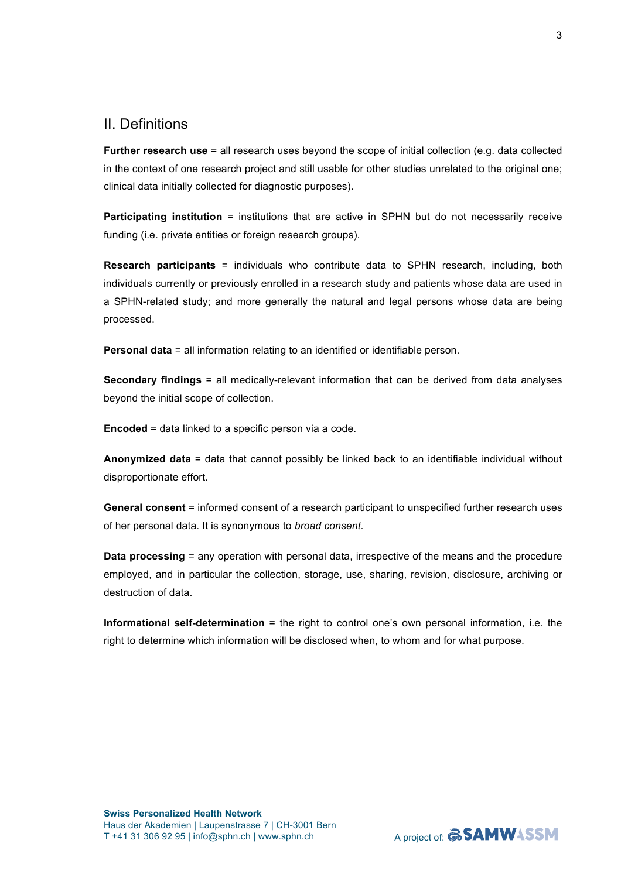# II. Definitions

**Further research use** = all research uses beyond the scope of initial collection (e.g. data collected in the context of one research project and still usable for other studies unrelated to the original one; clinical data initially collected for diagnostic purposes).

**Participating institution** = institutions that are active in SPHN but do not necessarily receive funding (i.e. private entities or foreign research groups).

**Research participants** = individuals who contribute data to SPHN research, including, both individuals currently or previously enrolled in a research study and patients whose data are used in a SPHN-related study; and more generally the natural and legal persons whose data are being processed.

**Personal data** = all information relating to an identified or identifiable person.

**Secondary findings** = all medically-relevant information that can be derived from data analyses beyond the initial scope of collection.

**Encoded** = data linked to a specific person via a code.

**Anonymized data** = data that cannot possibly be linked back to an identifiable individual without disproportionate effort.

**General consent** = informed consent of a research participant to unspecified further research uses of her personal data. It is synonymous to *broad consent*.

**Data processing** = any operation with personal data, irrespective of the means and the procedure employed, and in particular the collection, storage, use, sharing, revision, disclosure, archiving or destruction of data.

**Informational self-determination** = the right to control one's own personal information, i.e. the right to determine which information will be disclosed when, to whom and for what purpose.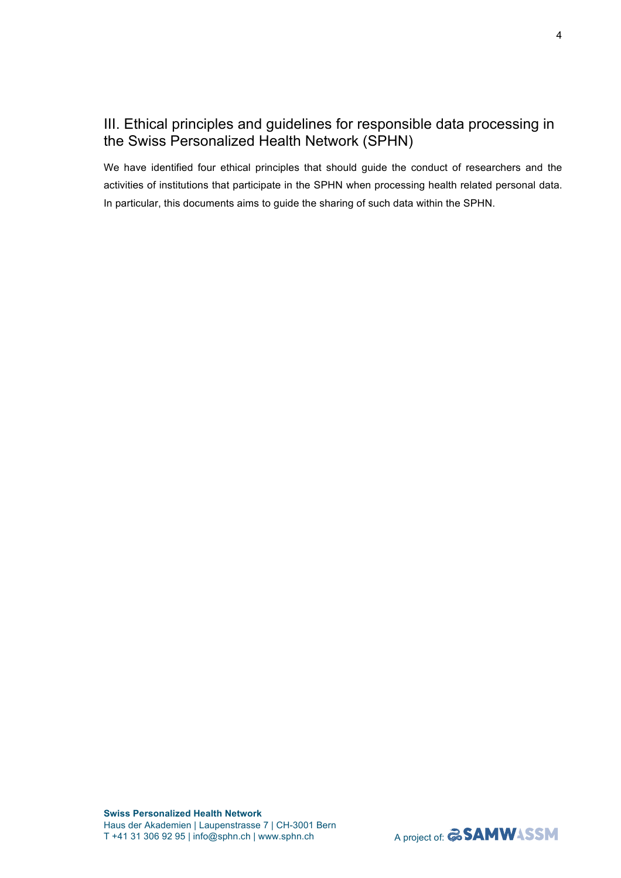# III. Ethical principles and guidelines for responsible data processing in the Swiss Personalized Health Network (SPHN)

We have identified four ethical principles that should guide the conduct of researchers and the activities of institutions that participate in the SPHN when processing health related personal data. In particular, this documents aims to guide the sharing of such data within the SPHN.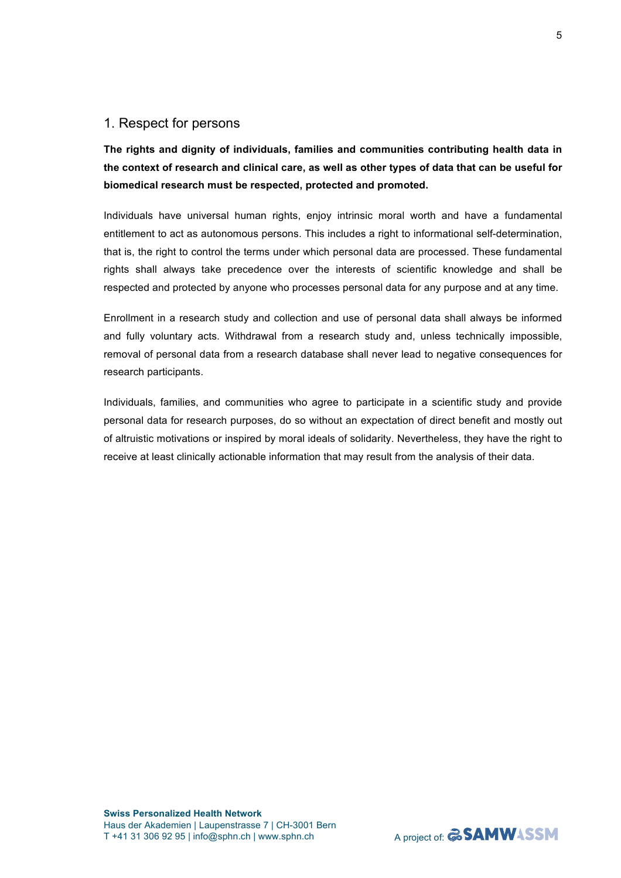## 1. Respect for persons

**The rights and dignity of individuals, families and communities contributing health data in the context of research and clinical care, as well as other types of data that can be useful for biomedical research must be respected, protected and promoted.**

Individuals have universal human rights, enjoy intrinsic moral worth and have a fundamental entitlement to act as autonomous persons. This includes a right to informational self-determination, that is, the right to control the terms under which personal data are processed. These fundamental rights shall always take precedence over the interests of scientific knowledge and shall be respected and protected by anyone who processes personal data for any purpose and at any time.

Enrollment in a research study and collection and use of personal data shall always be informed and fully voluntary acts. Withdrawal from a research study and, unless technically impossible, removal of personal data from a research database shall never lead to negative consequences for research participants.

Individuals, families, and communities who agree to participate in a scientific study and provide personal data for research purposes, do so without an expectation of direct benefit and mostly out of altruistic motivations or inspired by moral ideals of solidarity. Nevertheless, they have the right to receive at least clinically actionable information that may result from the analysis of their data.

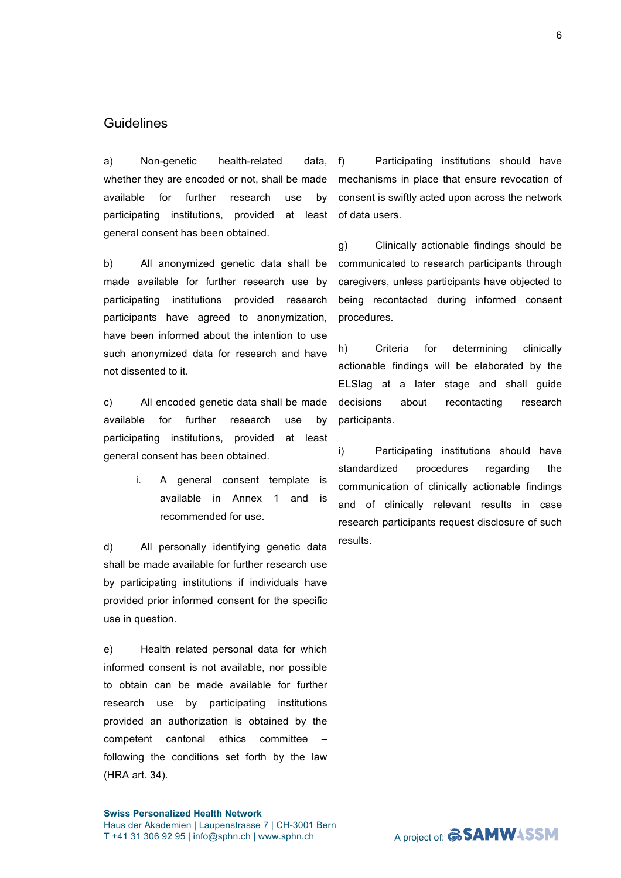#### **Swiss Personalized Health Network**  Haus der Akademien | Laupenstrasse 7 | CH-3001 Bern T +41 31 306 92 95 | info@sphn.ch | www.sphn.ch

6

# **Guidelines**

a) Non-genetic health-related data, whether they are encoded or not, shall be made available for further research use by participating institutions, provided at least general consent has been obtained.

b) All anonymized genetic data shall be made available for further research use by participating institutions provided research participants have agreed to anonymization, have been informed about the intention to use such anonymized data for research and have not dissented to it.

c) All encoded genetic data shall be made available for further research use by participating institutions, provided at least general consent has been obtained.

> i. A general consent template is available in Annex 1 and is recommended for use.

d) All personally identifying genetic data shall be made available for further research use by participating institutions if individuals have provided prior informed consent for the specific use in question.

e) Health related personal data for which informed consent is not available, nor possible to obtain can be made available for further research use by participating institutions provided an authorization is obtained by the competent cantonal ethics committee – following the conditions set forth by the law (HRA art. 34).

f) Participating institutions should have mechanisms in place that ensure revocation of consent is swiftly acted upon across the network of data users.

g) Clinically actionable findings should be communicated to research participants through caregivers, unless participants have objected to being recontacted during informed consent procedures.

h) Criteria for determining clinically actionable findings will be elaborated by the ELSIag at a later stage and shall guide decisions about recontacting research participants.

i) Participating institutions should have standardized procedures regarding the communication of clinically actionable findings and of clinically relevant results in case research participants request disclosure of such results.

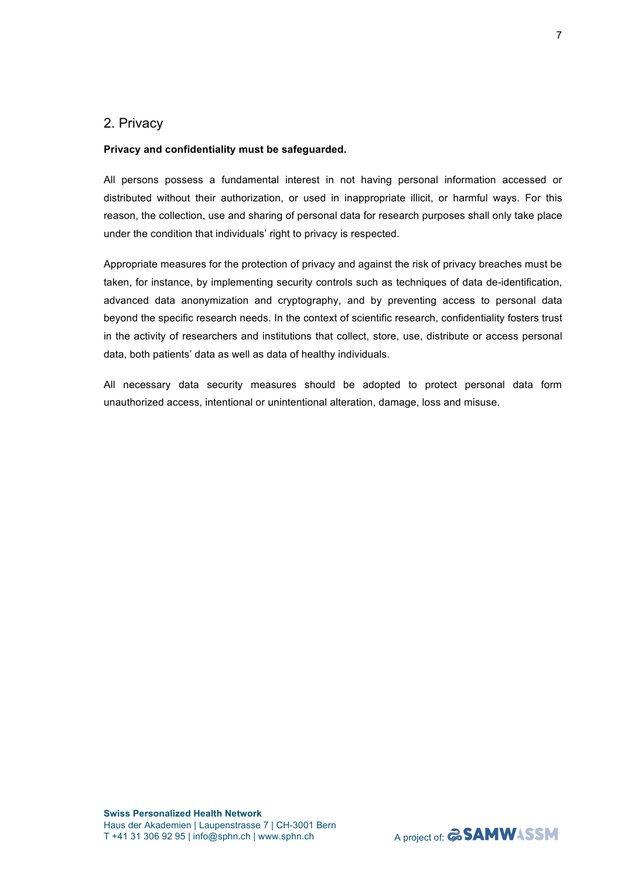## 2. Privacy

#### **Privacy and confidentiality must be safeguarded.**

All persons possess a fundamental interest in not having personal information accessed or distributed without their authorization, or used in inappropriate illicit, or harmful ways. For this reason, the collection, use and sharing of personal data for research purposes shall only take place under the condition that individuals' right to privacy is respected.

Appropriate measures for the protection of privacy and against the risk of privacy breaches must be taken, for instance, by implementing security controls such as techniques of data de-identification, advanced data anonymization and cryptography, and by preventing access to personal data beyond the specific research needs. In the context of scientific research, confidentiality fosters trust in the activity of researchers and institutions that collect, store, use, distribute or access personal data, both patients' data as well as data of healthy individuals.

All necessary data security measures should be adopted to protect personal data form unauthorized access, intentional or unintentional alteration, damage, loss and misuse.

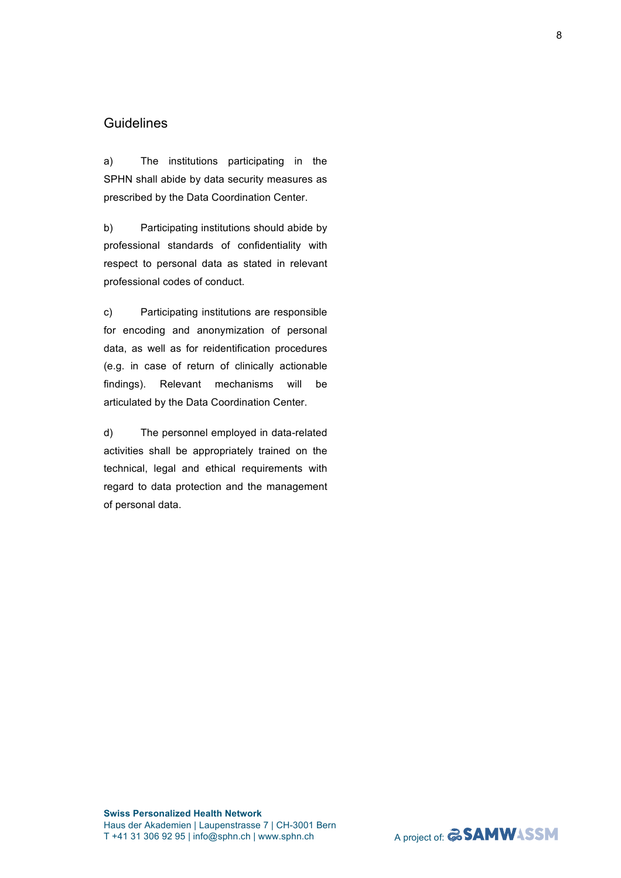# **Guidelines**

a) The institutions participating in the SPHN shall abide by data security measures as prescribed by the Data Coordination Center.

b) Participating institutions should abide by professional standards of confidentiality with respect to personal data as stated in relevant professional codes of conduct.

c) Participating institutions are responsible for encoding and anonymization of personal data, as well as for reidentification procedures (e.g. in case of return of clinically actionable findings). Relevant mechanisms will be articulated by the Data Coordination Center.

d) The personnel employed in data-related activities shall be appropriately trained on the technical, legal and ethical requirements with regard to data protection and the management of personal data.

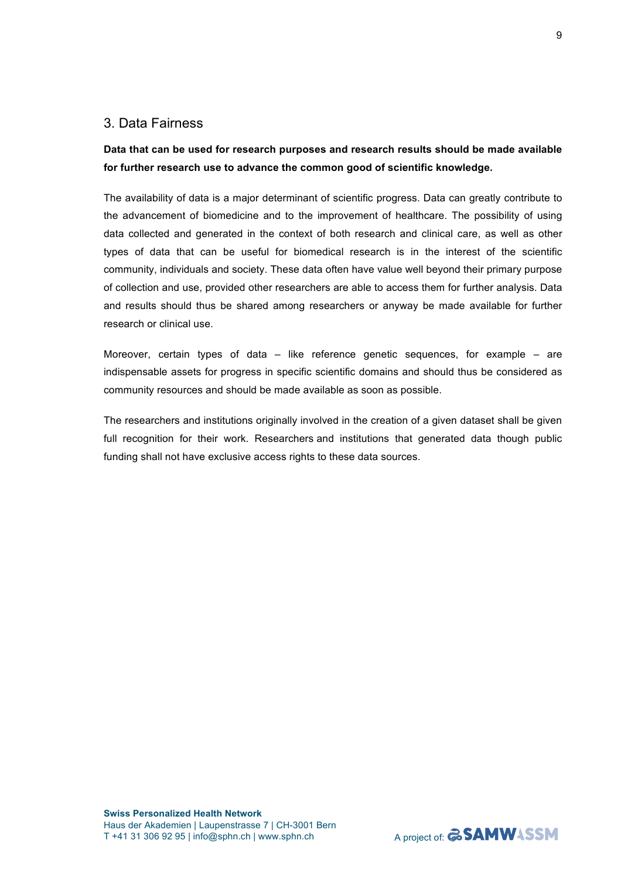# 3. Data Fairness

# **Data that can be used for research purposes and research results should be made available for further research use to advance the common good of scientific knowledge.**

The availability of data is a major determinant of scientific progress. Data can greatly contribute to the advancement of biomedicine and to the improvement of healthcare. The possibility of using data collected and generated in the context of both research and clinical care, as well as other types of data that can be useful for biomedical research is in the interest of the scientific community, individuals and society. These data often have value well beyond their primary purpose of collection and use, provided other researchers are able to access them for further analysis. Data and results should thus be shared among researchers or anyway be made available for further research or clinical use.

Moreover, certain types of data  $-$  like reference genetic sequences, for example  $-$  are indispensable assets for progress in specific scientific domains and should thus be considered as community resources and should be made available as soon as possible.

The researchers and institutions originally involved in the creation of a given dataset shall be given full recognition for their work. Researchers and institutions that generated data though public funding shall not have exclusive access rights to these data sources.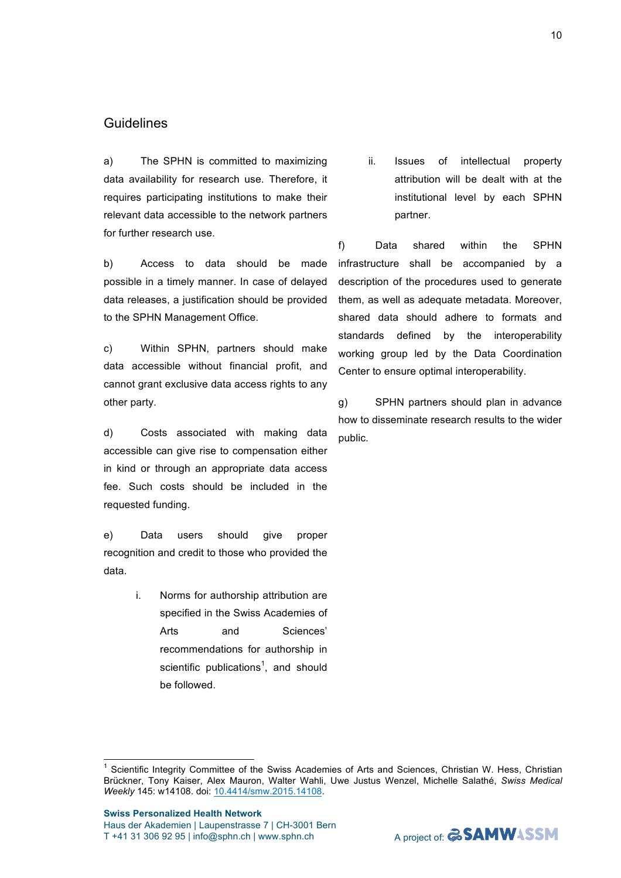#### **Swiss Personalized Health Network**  Haus der Akademien | Laupenstrasse 7 | CH-3001 Bern T +41 31 306 92 95 | info@sphn.ch | www.sphn.ch

*Weekly* 145: w14108. doi: 10.4414/smw.2015.14108.

 1 Scientific Integrity Committee of the Swiss Academies of Arts and Sciences, Christian W. Hess, Christian Brückner, Tony Kaiser, Alex Mauron, Walter Wahli, Uwe Justus Wenzel, Michelle Salathé, *Swiss Medical* 

# **Guidelines**

a) The SPHN is committed to maximizing data availability for research use. Therefore, it requires participating institutions to make their relevant data accessible to the network partners for further research use.

b) Access to data should be made possible in a timely manner. In case of delayed data releases, a justification should be provided to the SPHN Management Office.

c) Within SPHN, partners should make data accessible without financial profit, and cannot grant exclusive data access rights to any other party.

d) Costs associated with making data accessible can give rise to compensation either in kind or through an appropriate data access fee. Such costs should be included in the requested funding.

e) Data users should give proper recognition and credit to those who provided the data.

> i. Norms for authorship attribution are specified in the Swiss Academies of Arts and Sciences' recommendations for authorship in scientific publications<sup>1</sup>, and should be followed.

ii. Issues of intellectual property attribution will be dealt with at the institutional level by each SPHN partner.

f) Data shared within the SPHN infrastructure shall be accompanied by a description of the procedures used to generate them, as well as adequate metadata. Moreover, shared data should adhere to formats and standards defined by the interoperability working group led by the Data Coordination Center to ensure optimal interoperability.

g) SPHN partners should plan in advance how to disseminate research results to the wider public.

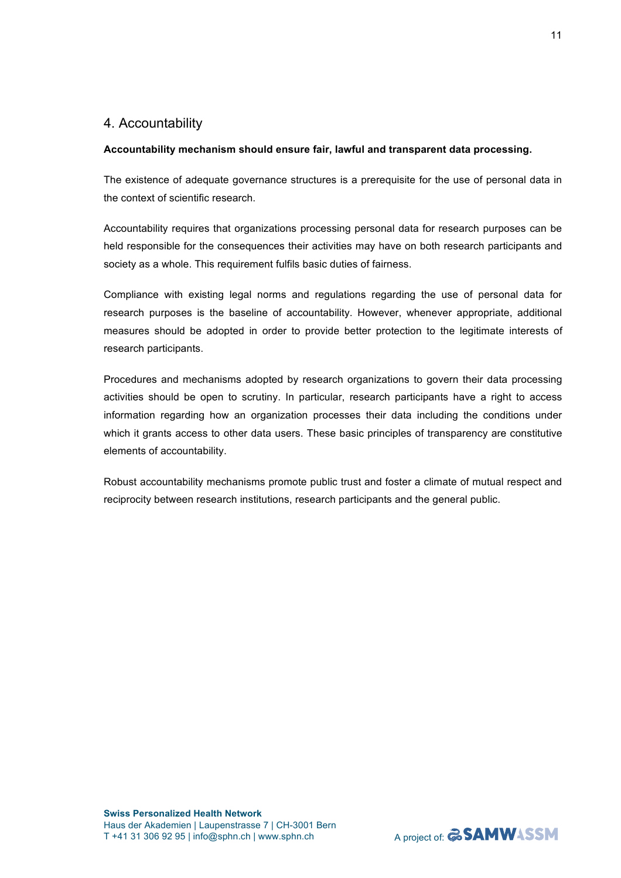# 4. Accountability

### **Accountability mechanism should ensure fair, lawful and transparent data processing.**

The existence of adequate governance structures is a prerequisite for the use of personal data in the context of scientific research.

Accountability requires that organizations processing personal data for research purposes can be held responsible for the consequences their activities may have on both research participants and society as a whole. This requirement fulfils basic duties of fairness.

Compliance with existing legal norms and regulations regarding the use of personal data for research purposes is the baseline of accountability. However, whenever appropriate, additional measures should be adopted in order to provide better protection to the legitimate interests of research participants.

Procedures and mechanisms adopted by research organizations to govern their data processing activities should be open to scrutiny. In particular, research participants have a right to access information regarding how an organization processes their data including the conditions under which it grants access to other data users. These basic principles of transparency are constitutive elements of accountability.

Robust accountability mechanisms promote public trust and foster a climate of mutual respect and reciprocity between research institutions, research participants and the general public.